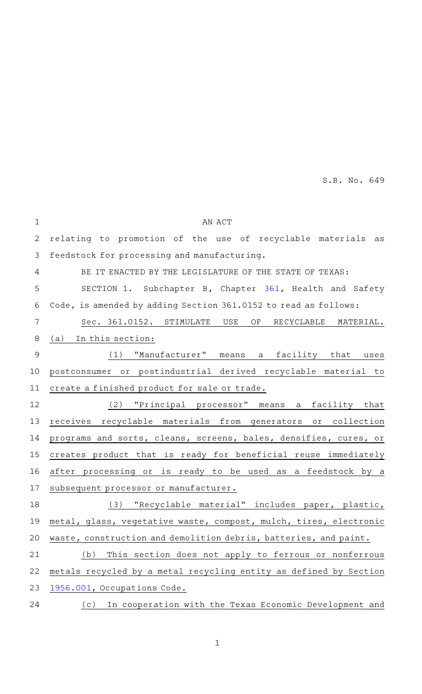| $\mathbf{1}$ | AN ACT                                                            |
|--------------|-------------------------------------------------------------------|
| 2            | relating to promotion of the use of recyclable materials as       |
| 3            | feedstock for processing and manufacturing.                       |
| 4            | BE IT ENACTED BY THE LEGISLATURE OF THE STATE OF TEXAS:           |
| 5            | SECTION 1. Subchapter B, Chapter 361, Health and Safety           |
| 6            | Code, is amended by adding Section 361.0152 to read as follows:   |
| 7            | Sec. 361.0152. STIMULATE USE<br>OF<br>RECYCLABLE MATERIAL.        |
| 8            | (a) In this section:                                              |
| 9            | "Manufacturer" means a facility that<br>(1)<br>uses               |
| 10           | postconsumer or postindustrial derived recyclable material to     |
| 11           | create a finished product for sale or trade.                      |
| 12           | "Principal processor" means a facility that<br>(2)                |
| 13           | receives recyclable materials from generators or collection       |
| 14           | programs and sorts, cleans, screens, bales, densifies, cures, or  |
| 15           | creates product that is ready for beneficial reuse immediately    |
| 16           | after processing or is ready to be used as a feedstock by a       |
| 17           | subsequent processor or manufacturer.                             |
| 18           | "Recyclable material" includes paper, plastic,<br>(3)             |
| 19           | metal, glass, vegetative waste, compost, mulch, tires, electronic |
| 20           | waste, construction and demolition debris, batteries, and paint.  |
| 21           | This section does not apply to ferrous or nonferrous<br>(b)       |
| 22           | metals recycled by a metal recycling entity as defined by Section |
| 23           | 1956.001, Occupations Code.                                       |
| 24           | (c) In cooperation with the Texas Economic Development and        |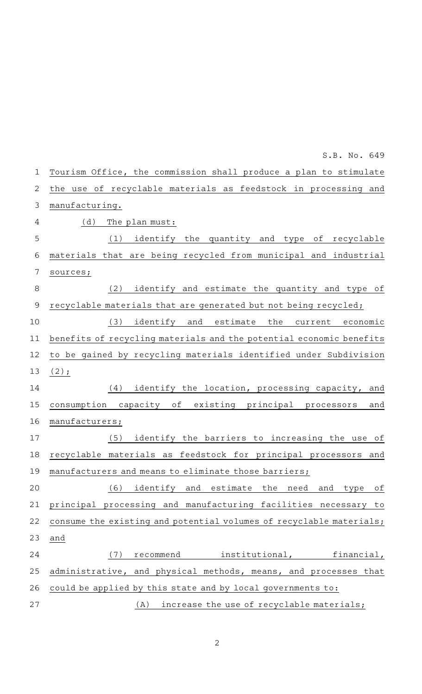Tourism Office, the commission shall produce a plan to stimulate the use of recyclable materials as feedstock in processing and manufacturing.  $(d)$  The plan must: (1) identify the quantity and type of recyclable materials that are being recycled from municipal and industrial sources; (2) identify and estimate the quantity and type of recyclable materials that are generated but not being recycled;  $(3)$  identify and estimate the current economic benefits of recycling materials and the potential economic benefits to be gained by recycling materials identified under Subdivision  $(2);$ (4) identify the location, processing capacity, and consumption capacity of existing principal processors and manufacturers; (5) identify the barriers to increasing the use of recyclable materials as feedstock for principal processors and manufacturers and means to eliminate those barriers; (6) identify and estimate the need and type of principal processing and manufacturing facilities necessary to consume the existing and potential volumes of recyclable materials; and (7) recommend institutional, financial, administrative, and physical methods, means, and processes that could be applied by this state and by local governments to:  $(A)$  increase the use of recyclable materials; 1 2 3 4 5 6 7 8 9 10 11 12 13 14 15 16 17 18 19 20 21 22 23 24 25 26 27

S.B. No. 649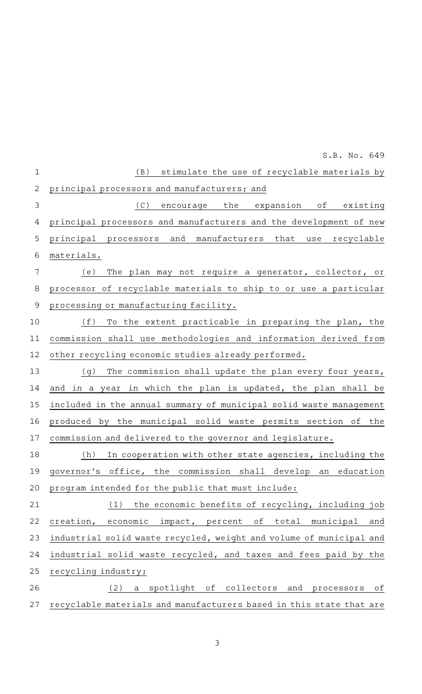|                | S.B. No. 649                                                        |
|----------------|---------------------------------------------------------------------|
| $\mathbf{1}$   | stimulate the use of recyclable materials by<br>(B)                 |
| $\overline{2}$ | principal processors and manufacturers; and                         |
| $\mathfrak{Z}$ | (C)<br>encourage the<br>expansion of existing                       |
| 4              | principal processors and manufacturers and the development of new   |
| 5              | principal processors and manufacturers that<br>use<br>recyclable    |
| 6              | materials.                                                          |
| 7              | The plan may not require a generator, collector, or<br>(e)          |
| 8              | processor of recyclable materials to ship to or use a particular    |
| $\mathsf 9$    | processing or manufacturing facility.                               |
| 10             | (f)<br>To the extent practicable in preparing the plan, the         |
| 11             | commission shall use methodologies and information derived from     |
| 12             | other recycling economic studies already performed.                 |
| 13             | The commission shall update the plan every four years,<br>(g)       |
| 14             | and in a year in which the plan is updated, the plan shall be       |
| 15             | included in the annual summary of municipal solid waste management  |
| 16             | produced by the municipal solid waste permits section of the        |
| 17             | commission and delivered to the governor and legislature.           |
| 18             | In cooperation with other state agencies, including the<br>(h)      |
| 19             | governor's office, the commission shall develop an education        |
| 20             | program intended for the public that must include:                  |
| 21             | the economic benefits of recycling, including job<br>(1)            |
| 22             | of total municipal<br>creation, economic impact, percent<br>and     |
| 23             | industrial solid waste recycled, weight and volume of municipal and |
| 24             | industrial solid waste recycled, and taxes and fees paid by the     |
| 25             | recycling industry;                                                 |
| 26             | (2)<br>a spotlight of collectors and processors<br>оf               |
| 27             | recyclable materials and manufacturers based in this state that are |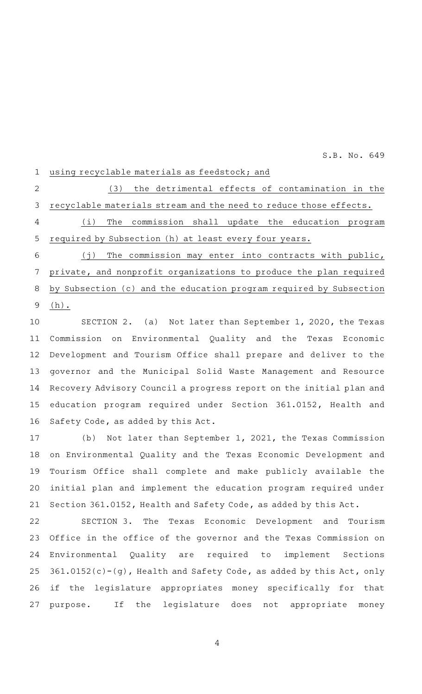using recyclable materials as feedstock; and 1

 $(3)$  the detrimental effects of contamination in the recyclable materials stream and the need to reduce those effects. 2 3

(i) The commission shall update the education program required by Subsection (h) at least every four years. 4 5

 $(j)$  The commission may enter into contracts with public, private, and nonprofit organizations to produce the plan required by Subsection (c) and the education program required by Subsection (h). 6 7 8 9

SECTION 2. (a) Not later than September 1, 2020, the Texas Commission on Environmental Quality and the Texas Economic Development and Tourism Office shall prepare and deliver to the governor and the Municipal Solid Waste Management and Resource Recovery Advisory Council a progress report on the initial plan and education program required under Section 361.0152, Health and Safety Code, as added by this Act. 10 11 12 13 14 15 16

(b) Not later than September 1, 2021, the Texas Commission on Environmental Quality and the Texas Economic Development and Tourism Office shall complete and make publicly available the initial plan and implement the education program required under Section 361.0152, Health and Safety Code, as added by this Act. 17 18 19 20 21

SECTION 3. The Texas Economic Development and Tourism Office in the office of the governor and the Texas Commission on Environmental Quality are required to implement Sections  $361.0152(c) - (g)$ , Health and Safety Code, as added by this Act, only if the legislature appropriates money specifically for that purpose. If the legislature does not appropriate money 22 23 24 25 26 27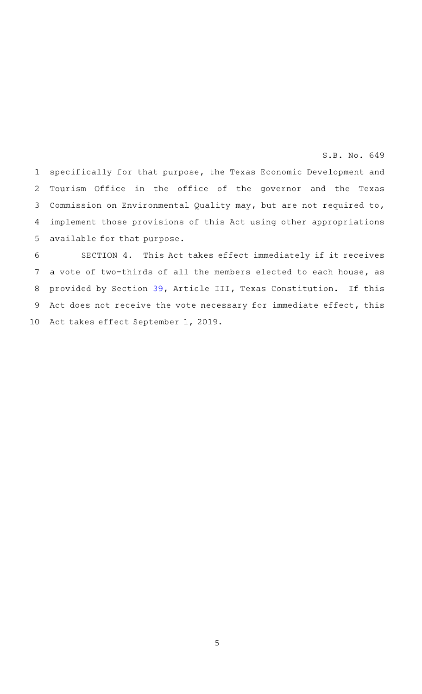specifically for that purpose, the Texas Economic Development and Tourism Office in the office of the governor and the Texas Commission on Environmental Quality may, but are not required to, implement those provisions of this Act using other appropriations available for that purpose. 1 2 3 4 5

SECTION 4. This Act takes effect immediately if it receives a vote of two-thirds of all the members elected to each house, as provided by Section [39,](http://www.statutes.legis.state.tx.us/GetStatute.aspx?Code=CN&Value=3.39&Date=5/7/2019) Article III, Texas Constitution. If this Act does not receive the vote necessary for immediate effect, this Act takes effect September 1, 2019. 6 7 8 9 10